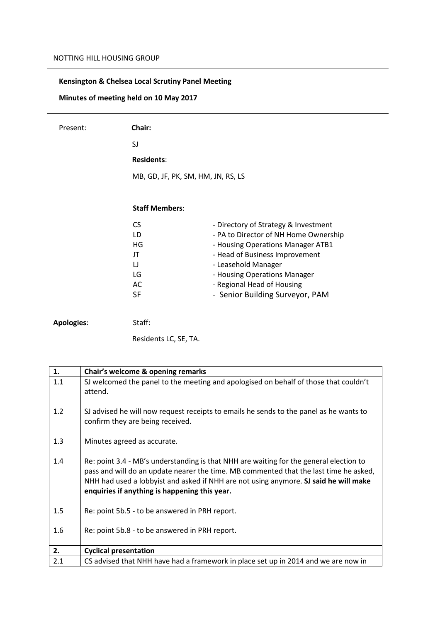## **Kensington & Chelsea Local Scrutiny Panel Meeting**

**Minutes of meeting held on 10 May 2017**

| Present:          | Chair:                             |                                       |
|-------------------|------------------------------------|---------------------------------------|
|                   | SJ                                 |                                       |
|                   | <b>Residents:</b>                  |                                       |
|                   | MB, GD, JF, PK, SM, HM, JN, RS, LS |                                       |
|                   |                                    |                                       |
|                   | <b>Staff Members:</b>              |                                       |
|                   | <b>CS</b>                          | - Directory of Strategy & Investment  |
|                   | LD                                 | - PA to Director of NH Home Ownership |
|                   | HG                                 | - Housing Operations Manager ATB1     |
|                   | JT                                 | - Head of Business Improvement        |
|                   | IJ                                 | - Leasehold Manager                   |
|                   | LG                                 | - Housing Operations Manager          |
|                   | AC                                 | - Regional Head of Housing            |
|                   | <b>SF</b>                          | - Senior Building Surveyor, PAM       |
|                   |                                    |                                       |
| <b>Apologies:</b> | Staff:                             |                                       |

Residents LC, SE, TA.

| 1.  | Chair's welcome & opening remarks                                                                                                                                                                                                                                                                                        |
|-----|--------------------------------------------------------------------------------------------------------------------------------------------------------------------------------------------------------------------------------------------------------------------------------------------------------------------------|
| 1.1 | SJ welcomed the panel to the meeting and apologised on behalf of those that couldn't<br>attend.                                                                                                                                                                                                                          |
| 1.2 | SJ advised he will now request receipts to emails he sends to the panel as he wants to<br>confirm they are being received.                                                                                                                                                                                               |
| 1.3 | Minutes agreed as accurate.                                                                                                                                                                                                                                                                                              |
| 1.4 | Re: point 3.4 - MB's understanding is that NHH are waiting for the general election to<br>pass and will do an update nearer the time. MB commented that the last time he asked,<br>NHH had used a lobbyist and asked if NHH are not using anymore. SJ said he will make<br>enquiries if anything is happening this year. |
| 1.5 | Re: point 5b.5 - to be answered in PRH report.                                                                                                                                                                                                                                                                           |
| 1.6 | Re: point 5b.8 - to be answered in PRH report.                                                                                                                                                                                                                                                                           |
| 2.  | <b>Cyclical presentation</b>                                                                                                                                                                                                                                                                                             |
| 2.1 | CS advised that NHH have had a framework in place set up in 2014 and we are now in                                                                                                                                                                                                                                       |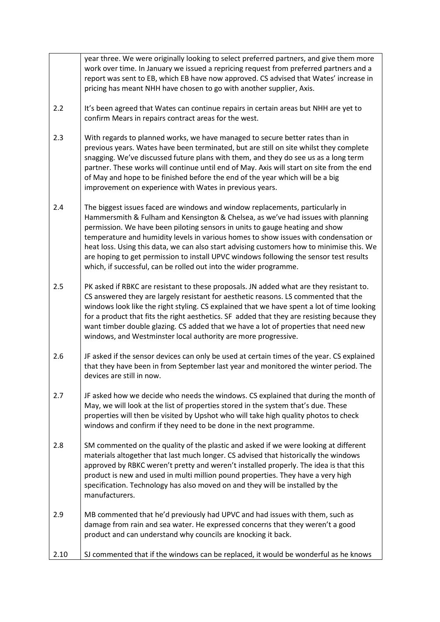|      | year three. We were originally looking to select preferred partners, and give them more<br>work over time. In January we issued a repricing request from preferred partners and a<br>report was sent to EB, which EB have now approved. CS advised that Wates' increase in                                                                                                                                                                                                                                                                                                                            |
|------|-------------------------------------------------------------------------------------------------------------------------------------------------------------------------------------------------------------------------------------------------------------------------------------------------------------------------------------------------------------------------------------------------------------------------------------------------------------------------------------------------------------------------------------------------------------------------------------------------------|
| 2.2  | pricing has meant NHH have chosen to go with another supplier, Axis.<br>It's been agreed that Wates can continue repairs in certain areas but NHH are yet to<br>confirm Mears in repairs contract areas for the west.                                                                                                                                                                                                                                                                                                                                                                                 |
| 2.3  | With regards to planned works, we have managed to secure better rates than in<br>previous years. Wates have been terminated, but are still on site whilst they complete<br>snagging. We've discussed future plans with them, and they do see us as a long term<br>partner. These works will continue until end of May. Axis will start on site from the end<br>of May and hope to be finished before the end of the year which will be a big<br>improvement on experience with Wates in previous years.                                                                                               |
| 2.4  | The biggest issues faced are windows and window replacements, particularly in<br>Hammersmith & Fulham and Kensington & Chelsea, as we've had issues with planning<br>permission. We have been piloting sensors in units to gauge heating and show<br>temperature and humidity levels in various homes to show issues with condensation or<br>heat loss. Using this data, we can also start advising customers how to minimise this. We<br>are hoping to get permission to install UPVC windows following the sensor test results<br>which, if successful, can be rolled out into the wider programme. |
| 2.5  | PK asked if RBKC are resistant to these proposals. JN added what are they resistant to.<br>CS answered they are largely resistant for aesthetic reasons. LS commented that the<br>windows look like the right styling. CS explained that we have spent a lot of time looking<br>for a product that fits the right aesthetics. SF added that they are resisting because they<br>want timber double glazing. CS added that we have a lot of properties that need new<br>windows, and Westminster local authority are more progressive.                                                                  |
| 2.6  | JF asked if the sensor devices can only be used at certain times of the year. CS explained<br>that they have been in from September last year and monitored the winter period. The<br>devices are still in now.                                                                                                                                                                                                                                                                                                                                                                                       |
| 2.7  | JF asked how we decide who needs the windows. CS explained that during the month of<br>May, we will look at the list of properties stored in the system that's due. These<br>properties will then be visited by Upshot who will take high quality photos to check<br>windows and confirm if they need to be done in the next programme.                                                                                                                                                                                                                                                               |
| 2.8  | SM commented on the quality of the plastic and asked if we were looking at different<br>materials altogether that last much longer. CS advised that historically the windows<br>approved by RBKC weren't pretty and weren't installed properly. The idea is that this<br>product is new and used in multi million pound properties. They have a very high<br>specification. Technology has also moved on and they will be installed by the<br>manufacturers.                                                                                                                                          |
| 2.9  | MB commented that he'd previously had UPVC and had issues with them, such as<br>damage from rain and sea water. He expressed concerns that they weren't a good<br>product and can understand why councils are knocking it back.                                                                                                                                                                                                                                                                                                                                                                       |
| 2.10 | SJ commented that if the windows can be replaced, it would be wonderful as he knows                                                                                                                                                                                                                                                                                                                                                                                                                                                                                                                   |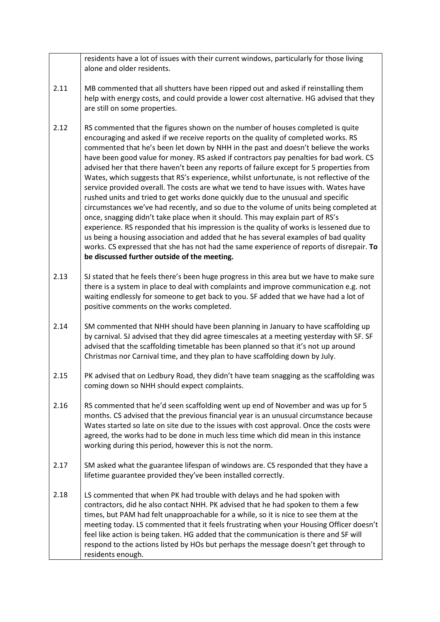2.11 2.12 2.13 2.14 2.15 2.16 2.17 2.18 residents have a lot of issues with their current windows, particularly for those living alone and older residents. MB commented that all shutters have been ripped out and asked if reinstalling them help with energy costs, and could provide a lower cost alternative. HG advised that they are still on some properties. RS commented that the figures shown on the number of houses completed is quite encouraging and asked if we receive reports on the quality of completed works. RS commented that he's been let down by NHH in the past and doesn't believe the works have been good value for money. RS asked if contractors pay penalties for bad work. CS advised her that there haven't been any reports of failure except for 5 properties from Wates, which suggests that RS's experience, whilst unfortunate, is not reflective of the service provided overall. The costs are what we tend to have issues with. Wates have rushed units and tried to get works done quickly due to the unusual and specific circumstances we've had recently, and so due to the volume of units being completed at once, snagging didn't take place when it should. This may explain part of RS's experience. RS responded that his impression is the quality of works is lessened due to us being a housing association and added that he has several examples of bad quality works. CS expressed that she has not had the same experience of reports of disrepair. **To be discussed further outside of the meeting.**  SJ stated that he feels there's been huge progress in this area but we have to make sure there is a system in place to deal with complaints and improve communication e.g. not waiting endlessly for someone to get back to you. SF added that we have had a lot of positive comments on the works completed. SM commented that NHH should have been planning in January to have scaffolding up by carnival. SJ advised that they did agree timescales at a meeting yesterday with SF. SF advised that the scaffolding timetable has been planned so that it's not up around Christmas nor Carnival time, and they plan to have scaffolding down by July. PK advised that on Ledbury Road, they didn't have team snagging as the scaffolding was coming down so NHH should expect complaints. RS commented that he'd seen scaffolding went up end of November and was up for 5 months. CS advised that the previous financial year is an unusual circumstance because Wates started so late on site due to the issues with cost approval. Once the costs were agreed, the works had to be done in much less time which did mean in this instance working during this period, however this is not the norm. SM asked what the guarantee lifespan of windows are. CS responded that they have a lifetime guarantee provided they've been installed correctly. LS commented that when PK had trouble with delays and he had spoken with contractors, did he also contact NHH. PK advised that he had spoken to them a few times, but PAM had felt unapproachable for a while, so it is nice to see them at the meeting today. LS commented that it feels frustrating when your Housing Officer doesn't feel like action is being taken. HG added that the communication is there and SF will respond to the actions listed by HOs but perhaps the message doesn't get through to residents enough.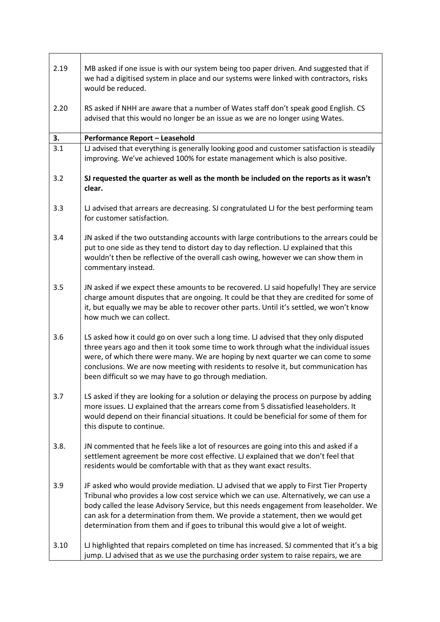| 2.19 | MB asked if one issue is with our system being too paper driven. And suggested that if<br>we had a digitised system in place and our systems were linked with contractors, risks<br>would be reduced.                                                                                                                                                                                                                                             |
|------|---------------------------------------------------------------------------------------------------------------------------------------------------------------------------------------------------------------------------------------------------------------------------------------------------------------------------------------------------------------------------------------------------------------------------------------------------|
| 2.20 | RS asked if NHH are aware that a number of Wates staff don't speak good English. CS<br>advised that this would no longer be an issue as we are no longer using Wates.                                                                                                                                                                                                                                                                             |
| 3.   | <b>Performance Report - Leasehold</b>                                                                                                                                                                                                                                                                                                                                                                                                             |
| 3.1  | LJ advised that everything is generally looking good and customer satisfaction is steadily<br>improving. We've achieved 100% for estate management which is also positive.                                                                                                                                                                                                                                                                        |
| 3.2  | SJ requested the quarter as well as the month be included on the reports as it wasn't<br>clear.                                                                                                                                                                                                                                                                                                                                                   |
| 3.3  | $U$ advised that arrears are decreasing. SJ congratulated $U$ for the best performing team<br>for customer satisfaction.                                                                                                                                                                                                                                                                                                                          |
| 3.4  | JN asked if the two outstanding accounts with large contributions to the arrears could be<br>put to one side as they tend to distort day to day reflection. LJ explained that this<br>wouldn't then be reflective of the overall cash owing, however we can show them in<br>commentary instead.                                                                                                                                                   |
| 3.5  | JN asked if we expect these amounts to be recovered. LJ said hopefully! They are service<br>charge amount disputes that are ongoing. It could be that they are credited for some of<br>it, but equally we may be able to recover other parts. Until it's settled, we won't know<br>how much we can collect.                                                                                                                                       |
| 3.6  | LS asked how it could go on over such a long time. LJ advised that they only disputed<br>three years ago and then it took some time to work through what the individual issues<br>were, of which there were many. We are hoping by next quarter we can come to some<br>conclusions. We are now meeting with residents to resolve it, but communication has<br>been difficult so we may have to go through mediation.                              |
| 3.7  | LS asked if they are looking for a solution or delaying the process on purpose by adding<br>more issues. LJ explained that the arrears come from 5 dissatisfied leaseholders. It<br>would depend on their financial situations. It could be beneficial for some of them for<br>this dispute to continue.                                                                                                                                          |
| 3.8. | JN commented that he feels like a lot of resources are going into this and asked if a<br>settlement agreement be more cost effective. LJ explained that we don't feel that<br>residents would be comfortable with that as they want exact results.                                                                                                                                                                                                |
| 3.9  | JF asked who would provide mediation. LJ advised that we apply to First Tier Property<br>Tribunal who provides a low cost service which we can use. Alternatively, we can use a<br>body called the lease Advisory Service, but this needs engagement from leaseholder. We<br>can ask for a determination from them. We provide a statement, then we would get<br>determination from them and if goes to tribunal this would give a lot of weight. |
| 3.10 | LJ highlighted that repairs completed on time has increased. SJ commented that it's a big<br>jump. LJ advised that as we use the purchasing order system to raise repairs, we are                                                                                                                                                                                                                                                                 |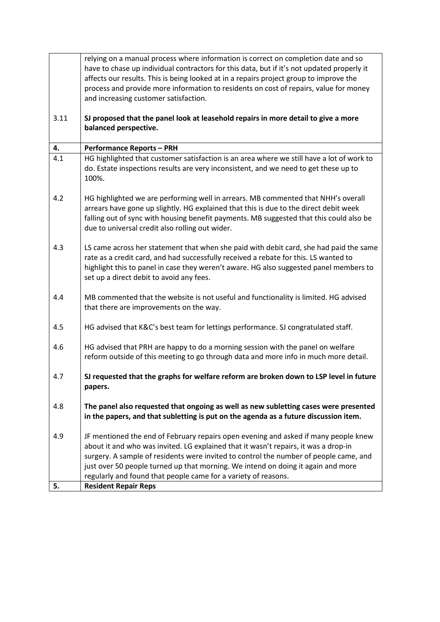|      | relying on a manual process where information is correct on completion date and so                                                                 |
|------|----------------------------------------------------------------------------------------------------------------------------------------------------|
|      | have to chase up individual contractors for this data, but if it's not updated properly it                                                         |
|      | affects our results. This is being looked at in a repairs project group to improve the                                                             |
|      | process and provide more information to residents on cost of repairs, value for money                                                              |
|      | and increasing customer satisfaction.                                                                                                              |
|      |                                                                                                                                                    |
| 3.11 | SJ proposed that the panel look at leasehold repairs in more detail to give a more                                                                 |
|      | balanced perspective.                                                                                                                              |
| 4.   | <b>Performance Reports - PRH</b>                                                                                                                   |
| 4.1  | HG highlighted that customer satisfaction is an area where we still have a lot of work to                                                          |
|      | do. Estate inspections results are very inconsistent, and we need to get these up to                                                               |
|      | 100%.                                                                                                                                              |
|      |                                                                                                                                                    |
| 4.2  | HG highlighted we are performing well in arrears. MB commented that NHH's overall                                                                  |
|      | arrears have gone up slightly. HG explained that this is due to the direct debit week                                                              |
|      | falling out of sync with housing benefit payments. MB suggested that this could also be                                                            |
|      | due to universal credit also rolling out wider.                                                                                                    |
|      |                                                                                                                                                    |
| 4.3  | LS came across her statement that when she paid with debit card, she had paid the same                                                             |
|      | rate as a credit card, and had successfully received a rebate for this. LS wanted to                                                               |
|      | highlight this to panel in case they weren't aware. HG also suggested panel members to                                                             |
|      | set up a direct debit to avoid any fees.                                                                                                           |
|      |                                                                                                                                                    |
| 4.4  | MB commented that the website is not useful and functionality is limited. HG advised                                                               |
|      | that there are improvements on the way.                                                                                                            |
|      |                                                                                                                                                    |
| 4.5  | HG advised that K&C's best team for lettings performance. SJ congratulated staff.                                                                  |
|      |                                                                                                                                                    |
| 4.6  | HG advised that PRH are happy to do a morning session with the panel on welfare                                                                    |
|      | reform outside of this meeting to go through data and more info in much more detail.                                                               |
|      |                                                                                                                                                    |
| 4.7  | SJ requested that the graphs for welfare reform are broken down to LSP level in future                                                             |
|      | papers.                                                                                                                                            |
|      |                                                                                                                                                    |
| 4.8  | The panel also requested that ongoing as well as new subletting cases were presented                                                               |
|      | in the papers, and that subletting is put on the agenda as a future discussion item.                                                               |
|      |                                                                                                                                                    |
| 4.9  | JF mentioned the end of February repairs open evening and asked if many people knew                                                                |
|      | about it and who was invited. LG explained that it wasn't repairs, it was a drop-in                                                                |
|      | surgery. A sample of residents were invited to control the number of people came, and                                                              |
|      | just over 50 people turned up that morning. We intend on doing it again and more<br>regularly and found that people came for a variety of reasons. |
| 5.   | <b>Resident Repair Reps</b>                                                                                                                        |
|      |                                                                                                                                                    |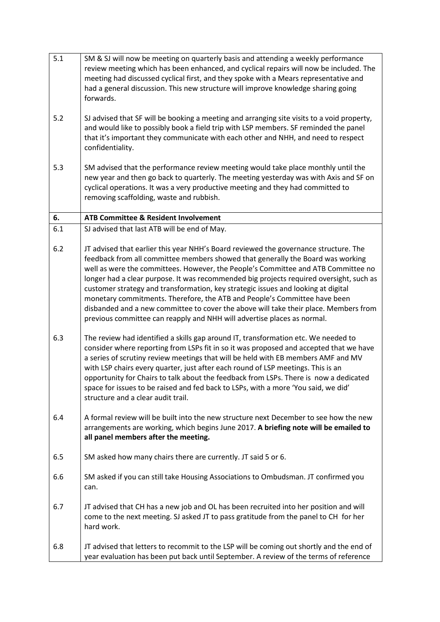| 5.1       | SM & SJ will now be meeting on quarterly basis and attending a weekly performance<br>review meeting which has been enhanced, and cyclical repairs will now be included. The<br>meeting had discussed cyclical first, and they spoke with a Mears representative and<br>had a general discussion. This new structure will improve knowledge sharing going<br>forwards.                                                                                                                                                                                                                                                                                                                        |
|-----------|----------------------------------------------------------------------------------------------------------------------------------------------------------------------------------------------------------------------------------------------------------------------------------------------------------------------------------------------------------------------------------------------------------------------------------------------------------------------------------------------------------------------------------------------------------------------------------------------------------------------------------------------------------------------------------------------|
| 5.2       | SJ advised that SF will be booking a meeting and arranging site visits to a void property,<br>and would like to possibly book a field trip with LSP members. SF reminded the panel<br>that it's important they communicate with each other and NHH, and need to respect<br>confidentiality.                                                                                                                                                                                                                                                                                                                                                                                                  |
| 5.3       | SM advised that the performance review meeting would take place monthly until the<br>new year and then go back to quarterly. The meeting yesterday was with Axis and SF on<br>cyclical operations. It was a very productive meeting and they had committed to<br>removing scaffolding, waste and rubbish.                                                                                                                                                                                                                                                                                                                                                                                    |
| 6.<br>6.1 | <b>ATB Committee &amp; Resident Involvement</b>                                                                                                                                                                                                                                                                                                                                                                                                                                                                                                                                                                                                                                              |
|           | SJ advised that last ATB will be end of May.                                                                                                                                                                                                                                                                                                                                                                                                                                                                                                                                                                                                                                                 |
| 6.2       | JT advised that earlier this year NHH's Board reviewed the governance structure. The<br>feedback from all committee members showed that generally the Board was working<br>well as were the committees. However, the People's Committee and ATB Committee no<br>longer had a clear purpose. It was recommended big projects required oversight, such as<br>customer strategy and transformation, key strategic issues and looking at digital<br>monetary commitments. Therefore, the ATB and People's Committee have been<br>disbanded and a new committee to cover the above will take their place. Members from<br>previous committee can reapply and NHH will advertise places as normal. |
| 6.3       | The review had identified a skills gap around IT, transformation etc. We needed to<br>consider where reporting from LSPs fit in so it was proposed and accepted that we have<br>a series of scrutiny review meetings that will be held with EB members AMF and MV<br>with LSP chairs every quarter, just after each round of LSP meetings. This is an<br>opportunity for Chairs to talk about the feedback from LSPs. There is now a dedicated<br>space for issues to be raised and fed back to LSPs, with a more 'You said, we did'<br>structure and a clear audit trail.                                                                                                                   |
| 6.4       | A formal review will be built into the new structure next December to see how the new<br>arrangements are working, which begins June 2017. A briefing note will be emailed to<br>all panel members after the meeting.                                                                                                                                                                                                                                                                                                                                                                                                                                                                        |
| 6.5       | SM asked how many chairs there are currently. JT said 5 or 6.                                                                                                                                                                                                                                                                                                                                                                                                                                                                                                                                                                                                                                |
| 6.6       | SM asked if you can still take Housing Associations to Ombudsman. JT confirmed you<br>can.                                                                                                                                                                                                                                                                                                                                                                                                                                                                                                                                                                                                   |
| 6.7       | JT advised that CH has a new job and OL has been recruited into her position and will<br>come to the next meeting. SJ asked JT to pass gratitude from the panel to CH for her<br>hard work.                                                                                                                                                                                                                                                                                                                                                                                                                                                                                                  |
| 6.8       | JT advised that letters to recommit to the LSP will be coming out shortly and the end of<br>year evaluation has been put back until September. A review of the terms of reference                                                                                                                                                                                                                                                                                                                                                                                                                                                                                                            |